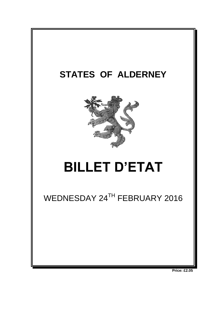

**Price: £2.05**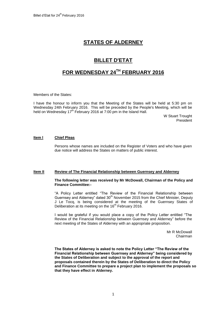# **STATES OF ALDERNEY**

# **BILLET D'ETAT**

## **FOR WEDNESDAY 24TH FEBRUARY 2016**

Members of the States:

I have the honour to inform you that the Meeting of the States will be held at 5:30 pm on Wednesday 24th February 2016. This will be preceded by the People's Meeting, which will be held on Wednesday 17<sup>th</sup> February 2016 at 7:00 pm in the Island Hall.

> W Stuart Trought President

### **Item l Chief Pleas**

Persons whose names are included on the Register of Voters and who have given due notice will address the States on matters of public interest.

### **Item II Review of The Financial Relationship between Guernsey and Alderney**

#### **The following letter was received by Mr McDowall, Chairman of the Policy and Finance Committee:-**

"A Policy Letter entitled "The Review of the Financial Relationship between Guernsey and Alderney" dated 30<sup>th</sup> November 2015 from the Chief Minister, Deputy J Le Tocq, is being considered at the meeting of the Guernsey States of Deliberation at its meeting on the 16<sup>th</sup> February 2016.

I would be grateful if you would place a copy of the Policy Letter entitled "The Review of the Financial Relationship between Guernsey and Alderney" before the next meeting of the States of Alderney with an appropriate proposition.

> Mr R McDowall Chairman

**The States of Alderney is asked to note the Policy Letter "The Review of the Financial Relationship between Guernsey and Alderney" being considered by the States of Deliberation and subject to the approval of the report and proposals contained therein by the States of Deliberation to direct the Policy and Finance Committee to prepare a project plan to implement the proposals so that they have effect in Alderney.**